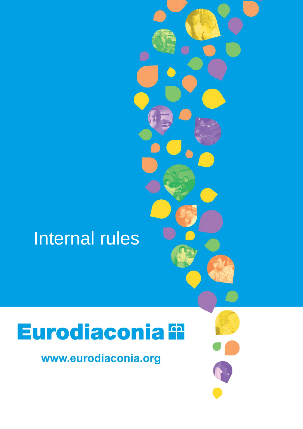# Internal rules

# Eurodiaconia <sup>e</sup>

www.eurodiaconia.org

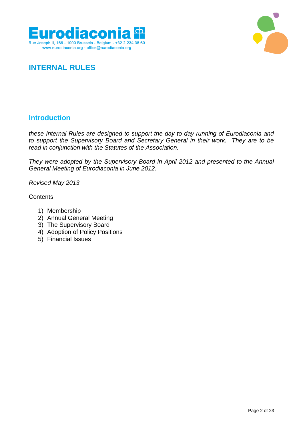



# **INTERNAL RULES**

### **Introduction**

*these Internal Rules are designed to support the day to day running of Eurodiaconia and to support the Supervisory Board and Secretary General in their work. They are to be read in conjunction with the Statutes of the Association.* 

*They were adopted by the Supervisory Board in April 2012 and presented to the Annual General Meeting of Eurodiaconia in June 2012.*

*Revised May 2013*

**Contents** 

- 1) Membership
- 2) Annual General Meeting
- 3) The Supervisory Board
- 4) Adoption of Policy Positions
- 5) Financial Issues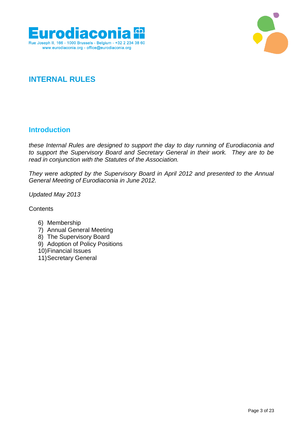



# **INTERNAL RULES**

### **Introduction**

*these Internal Rules are designed to support the day to day running of Eurodiaconia and to support the Supervisory Board and Secretary General in their work. They are to be read in conjunction with the Statutes of the Association.* 

*They were adopted by the Supervisory Board in April 2012 and presented to the Annual General Meeting of Eurodiaconia in June 2012.*

*Updated May 2013*

**Contents** 

- 6) Membership
- 7) Annual General Meeting
- 8) The Supervisory Board
- 9) Adoption of Policy Positions
- 10)Financial Issues
- 11)Secretary General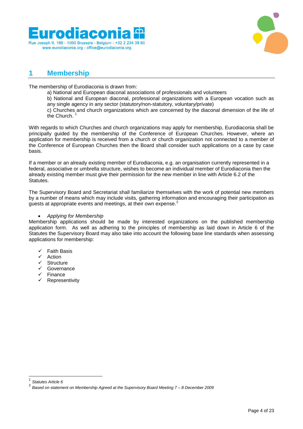



### **1 Membership**

The membership of Eurodiaconia is drawn from:

- a) National and European diaconal associations of professionals and volunteers
- b) National and European diaconal, professional organizations with a European vocation such as any single agency in any sector (statutory/non-statutory, voluntary/private)

c) Churches and church organizations which are concerned by the diaconal dimension of the life of the Church. $<sup>1</sup>$ </sup>

With regards to which Churches and church organizations may apply for membership, Eurodiaconia shall be principally guided by the membership of the Conference of European Churches. However, where an application for membership is received from a church or church organization not connected to a member of the Conference of European Churches then the Board shall consider such applications on a case by case basis.

If a member or an already existing member of Eurodiaconia, e.g. an organisation currently represented in a federal, associative or umbrella structure, wishes to become an individual member of Eurodiaconia then the already existing member must give their permission for the new member in line with Article 6.2 of the Statutes.

The Supervisory Board and Secretariat shall familiarize themselves with the work of potential new members by a number of means which may include visits, gathering information and encouraging their participation as guests at appropriate events and meetings, at their own expense.<sup>2</sup>

### *Applying for Membership*

Membership applications should be made by interested organizations on the published membership application form. As well as adhering to the principles of membership as laid down in Article 6 of the Statutes the Supervisory Board may also take into account the following base line standards when assessing applications for membership:

- $\checkmark$  Faith Basis
- Action
- V Structure<br>V Governoz
- Governance
- $\checkmark$  Finance
- Representivity

 $\overline{\phantom{a}}$ 

<sup>1</sup> *Statutes Article 6*

<sup>2</sup> *Based on statement on Membership Agreed at the Supervisory Board Meeting 7 – 8 December 2009*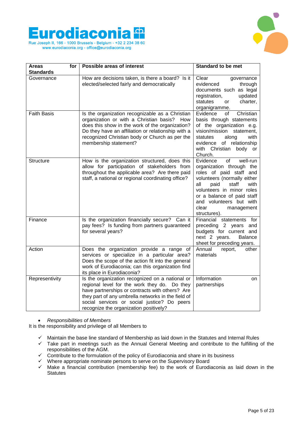



| for<br>Areas       | <b>Possible areas of interest</b>                                                                                                                                                                                                                                                                 | Standard to be met                                                                                                                                                                                                                                                            |
|--------------------|---------------------------------------------------------------------------------------------------------------------------------------------------------------------------------------------------------------------------------------------------------------------------------------------------|-------------------------------------------------------------------------------------------------------------------------------------------------------------------------------------------------------------------------------------------------------------------------------|
| <b>Standards</b>   |                                                                                                                                                                                                                                                                                                   |                                                                                                                                                                                                                                                                               |
| Governance         | How are decisions taken, is there a board? Is it<br>elected/selected fairly and democratically                                                                                                                                                                                                    | Clear<br>governance<br>evidenced<br>through<br>documents such as legal<br>registration,<br>updated<br>statutes<br>charter,<br>or<br>organigramme.                                                                                                                             |
| <b>Faith Basis</b> | Is the organization recognizable as a Christian<br>organization or with a Christian basis?<br>How<br>does this show in the work of the organization?<br>Do they have an affiliation or relationship with a<br>recognized Christian body or Church as per the<br>membership statement?             | Evidence<br>Christian<br>οf<br>basis through statements<br>of the organization e.g.<br>vision/mission statement,<br>along<br>statutes<br>with<br>evidence of relationship<br>with Christian body or<br>Church.                                                                |
| <b>Structure</b>   | How is the organization structured, does this<br>allow for participation of stakeholders from<br>throughout the applicable area? Are there paid<br>staff, a national or regional coordinating office?                                                                                             | Evidence<br>of<br>well-run<br>organization through the<br>roles of paid staff and<br>volunteers (normally either<br>staff<br>all<br>paid<br>with<br>volunteers in minor roles<br>or a balance of paid staff<br>and volunteers but with<br>clear<br>management<br>structures). |
| Finance            | Is the organization financially secure? Can it<br>pay fees? Is funding from partners guaranteed<br>for several years?                                                                                                                                                                             | Financial statements for<br>preceding 2 years<br>and<br>budgets for current and<br>next 2 years.<br>Balance<br>sheet for preceding years.                                                                                                                                     |
| Action             | Does the organization provide a range of<br>services or specialize in a particular area?<br>Does the scope of the action fit into the general<br>work of Eurodiaconia; can this organization find<br>its place in Eurodiaconia?                                                                   | Annual<br>report,<br>other<br>materials                                                                                                                                                                                                                                       |
| Representivity     | Is the organization recognized on a national or<br>regional level for the work they do. Do they<br>have partnerships or contracts with others? Are<br>they part of any umbrella networks in the field of<br>social services or social justice? Do peers<br>recognize the organization positively? | Information<br>on<br>partnerships                                                                                                                                                                                                                                             |

*Responsibilities of Members*

It is the responsibility and privilege of all Members to

- $\checkmark$  Maintain the base line standard of Membership as laid down in the Statutes and Internal Rules
- $\checkmark$  Take part in meetings such as the Annual General Meeting and contribute to the fulfilling of the responsibilities of the AGM.
- $\checkmark$  Contribute to the formulation of the policy of Eurodiaconia and share in its business
- $\checkmark$  Where appropriate nominate persons to serve on the Supervisory Board
- $\checkmark$  Make a financial contribution (membership fee) to the work of Eurodiaconia as laid down in the **Statutes**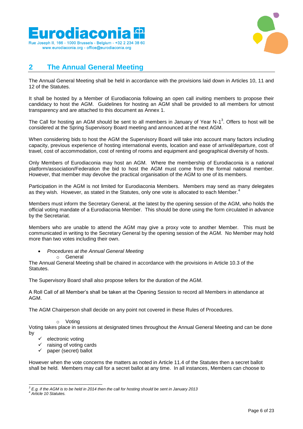



### **2 The Annual General Meeting**

The Annual General Meeting shall be held in accordance with the provisions laid down in Articles 10, 11 and 12 of the Statutes.

It shall be hosted by a Member of Eurodiaconia following an open call inviting members to propose their candidacy to host the AGM. Guidelines for hosting an AGM shall be provided to all members for utmost transparency and are attached to this document as Annex 1.

The Call for hosting an AGM should be sent to all members in January of Year N-1<sup>3</sup>. Offers to host will be considered at the Spring Supervisory Board meeting and announced at the next AGM.

When considering bids to host the AGM the Supervisory Board will take into account many factors including capacity, previous experience of hosting international events, location and ease of arrival/departure, cost of travel, cost of accommodation, cost of renting of rooms and equipment and geographical diversity of hosts.

Only Members of Eurodiaconia may host an AGM. Where the membership of Eurodiaconia is a national platform/association/Federation the bid to host the AGM must come from the formal national member. However, that member may devolve the practical organisation of the AGM to one of its members.

Participation in the AGM is not limited for Eurodiaconia Members. Members may send as many delegates as they wish. However, as stated in the Statutes, only one vote is allocated to each Member.<sup>4</sup>

Members must inform the Secretary General, at the latest by the opening session of the AGM, who holds the official voting mandate of a Eurodiaconia Member. This should be done using the form circulated in advance by the Secretariat.

Members who are unable to attend the AGM may give a proxy vote to another Member. This must be communicated in writing to the Secretary General by the opening session of the AGM. No Member may hold more than two votes including their own.

*Procedures at the Annual General Meeting*

o General

The Annual General Meeting shall be chaired in accordance with the provisions in Article 10.3 of the Statutes.

The Supervisory Board shall also propose tellers for the duration of the AGM.

A Roll Call of all Member's shall be taken at the Opening Session to record all Members in attendance at AGM.

The AGM Chairperson shall decide on any point not covered in these Rules of Procedures.

o Voting

Voting takes place in sessions at designated times throughout the Annual General Meeting and can be done by

- electronic voting
- raising of voting cards
- $\checkmark$  paper (secret) ballot

However when the vote concerns the matters as noted in Article 11.4 of the Statutes then a secret ballot shall be held. Members may call for a secret ballot at any time. In all instances, Members can choose to

l *<sup>3</sup> E.g. if the AGM is to be held in 2014 then the call for hosting should be sent in January 2013*

*<sup>4</sup> Article 10 Statutes.*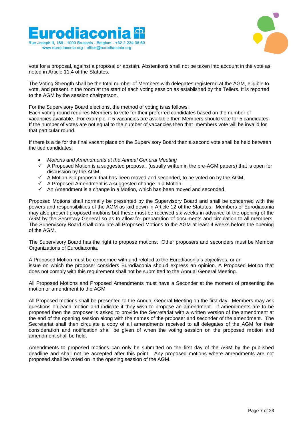



vote for a proposal, against a proposal or abstain. Abstentions shall not be taken into account in the vote as noted in Article 11.4 of the Statutes.

The Voting Strength shall be the total number of Members with delegates registered at the AGM, eligible to vote, and present in the room at the start of each voting session as established by the Tellers. It is reported to the AGM by the session chairperson.

For the Supervisory Board elections, the method of voting is as follows:

Each voting round requires Members to vote for their preferred candidates based on the number of vacancies available. For example, if 5 vacancies are available then Members should vote for 5 candidates. If the number of votes are not equal to the number of vacancies then that members vote will be invalid for that particular round.

If there is a tie for the final vacant place on the Supervisory Board then a second vote shall be held between the tied candidates.

- *Motions and Amendments at the Annual General Meeting*
- $\checkmark$  A Proposed Motion is a suggested proposal, (usually written in the pre-AGM papers) that is open for discussion by the AGM.
- $\checkmark$  A Motion is a proposal that has been moved and seconded, to be voted on by the AGM.
- $\checkmark$  A Proposed Amendment is a suggested change in a Motion.
- $\checkmark$  An Amendment is a change in a Motion, which has been moved and seconded.

Proposed Motions shall normally be presented by the Supervisory Board and shall be concerned with the powers and responsibilities of the AGM as laid down in Article 12 of the Statutes. Members of Eurodiaconia may also present proposed motions but these must be received six weeks in advance of the opening of the AGM by the Secretary General so as to allow for preparation of documents and circulation to all members. The Supervisory Board shall circulate all Proposed Motions to the AGM at least 4 weeks before the opening of the AGM.

The Supervisory Board has the right to propose motions. Other proposers and seconders must be Member Organizations of Eurodiaconia.

A Proposed Motion must be concerned with and related to the Eurodiaconia's objectives, or an issue on which the proposer considers Eurodiaconia should express an opinion. A Proposed Motion that does not comply with this requirement shall not be submitted to the Annual General Meeting.

All Proposed Motions and Proposed Amendments must have a Seconder at the moment of presenting the motion or amendment to the AGM.

All Proposed motions shall be presented to the Annual General Meeting on the first day. Members may ask questions on each motion and indicate if they wish to propose an amendment. If amendments are to be proposed then the proposer is asked to provide the Secretariat with a written version of the amendment at the end of the opening session along with the names of the proposer and seconder of the amendment. The Secretariat shall then circulate a copy of all amendments received to all delegates of the AGM for their consideration and notification shall be given of when the voting session on the proposed motion and amendment shall be held.

Amendments to proposed motions can only be submitted on the first day of the AGM by the published deadline and shall not be accepted after this point. Any proposed motions where amendments are not proposed shall be voted on in the opening session of the AGM.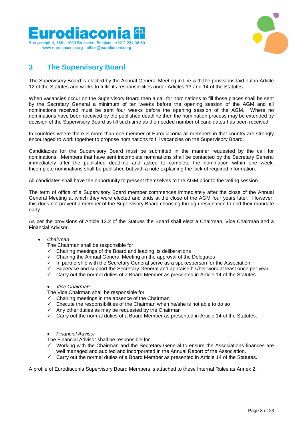



### **3 The Supervisory Board**

The Supervisory Board is elected by the Annual General Meeting in line with the provisions laid out in Article 12 of the Statutes and works to fulfill its responsibilities under Articles 13 and 14 of the Statutes.

When vacancies occur on the Supervisory Board then a call for nominations to fill those places shall be sent by the Secretary General a minimum of ten weeks before the opening session of the AGM and all nominations received must be sent four weeks before the opening session of the AGM. Where no nominations have been received by the published deadline then the nomination process may be extended by decision of the Supervisory Board as till such time as the needed number of candidates has been received.

In countries where there is more than one member of Eurodiaconia all members in that country are strongly encouraged to work together to propose nominations to fill vacancies on the Supervisory Board.

Candidacies for the Supervisory Board must be submitted in the manner requested by the call for nominations. Members that have sent incomplete nominations shall be contacted by the Secretary General immediately after the published deadline and asked to complete the nomination within one week. Incomplete nominations shall be published but with a note explaining the lack of required information.

All candidates shall have the opportunity to present themselves to the AGM prior to the voting session.

The term of office of a Supervisory Board member commences immediately after the close of the Annual General Meeting at which they were elected and ends at the close of the AGM four years later. However, this does not prevent a member of the Supervisory Board choosing through resignation to end their mandate early.

As per the provisions of Article 13.2 of the Statues the Board shall elect a Chairman, Vice Chairman and a Financial Advisor.

### *Chairman*

The Chairman shall be responsible for

- $\checkmark$  Chairing meetings of the Board and leading its deliberations  $\checkmark$  Chairing the Annual General Meeting on the annual of the
- Chairing the Annual General Meeting on the approval of the Delegates
- In partnership with the Secretary General serve as a spokesperson for the Association<br>In Supervise and support the Secretary General and annraise his/her work at least once r
- Supervise and support the Secretary General and appraise his/her work at least once per year.<br>  $\checkmark$  Carry out the normal duties of a Board Member as presented in Article 14 of the Statutes
- Carry out the normal duties of a Board Member as presented in Article 14 of the Statutes.

### *Vice Chairman*

The Vice Chairman shall be responsible for

- $\checkmark$  Chairing meetings in the absence of the Chairman
- $\checkmark$  Execute the responsibilities of the Chairman when he/she is not able to do so
- $\checkmark$  Any other duties as may be requested by the Chairman
- $\checkmark$  Carry out the normal duties of a Board Member as presented in Article 14 of the Statutes.

### *Financial Advisor*

The Financial Advisor shall be responsible for

- $\checkmark$  Working with the Chairman and the Secretary General to ensure the Associations finances are well managed and audited and incorporated in the Annual Report of the Association.
- $\checkmark$  Carry out the normal duties of a Board Member as presented in Article 14 of the Statutes.

A profile of Eurodiaconia Supervisory Board Members is attached to these Internal Rules as Annex 2.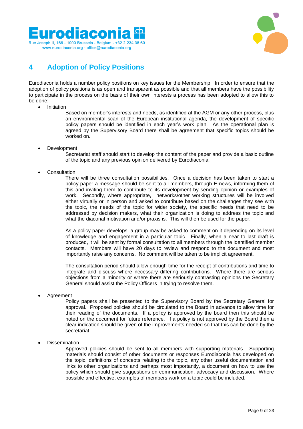



## **4 Adoption of Policy Positions**

Eurodiaconia holds a number policy positions on key issues for the Membership. In order to ensure that the adoption of policy positions is as open and transparent as possible and that all members have the possibility to participate in the process on the basis of their own interests a process has been adopted to allow this to be done:

- Initiation
	- Based on member's interests and needs, as identified at the AGM or any other process, plus an environmental scan of the European institutional agenda, the development of specific policy papers should be identified in each year's work plan. As the operational plan is agreed by the Supervisory Board there shall be agreement that specific topics should be worked on.
- Development

Secretariat staff should start to develop the content of the paper and provide a basic outline of the topic and any previous opinion delivered by Eurodiaconia.

**Consultation** 

There will be three consultation possibilities. Once a decision has been taken to start a policy paper a message should be sent to all members, through E-news, informing them of this and inviting them to contribute to its development by sending opinion or examples of work. Secondly, where appropriate, networks/other working structures will be involved either virtually or in person and asked to contribute based on the challenges they see with the topic, the needs of the topic for wider society, the specific needs that need to be addressed by decision makers, what their organization is doing to address the topic and what the diaconal motivation and/or praxis is. This will then be used for the paper.

As a policy paper develops, a group may be asked to comment on it depending on its level of knowledge and engagement in a particular topic. Finally, when a near to last draft is produced, it will be sent by formal consultation to all members through the identified member contacts. Members will have 20 days to review and respond to the document and most importantly raise any concerns. No comment will be taken to be implicit agreement.

The consultation period should allow enough time for the receipt of contributions and time to integrate and discuss where necessary differing contributions. Where there are serious objections from a minority or where there are seriously contrasting opinions the Secretary General should assist the Policy Officers in trying to resolve them.

Agreement

Policy papers shall be presented to the Supervisory Board by the Secretary General for approval. Proposed policies should be circulated to the Board in advance to allow time for their reading of the documents. If a policy is approved by the board then this should be noted on the document for future reference. If a policy is not approved by the Board then a clear indication should be given of the improvements needed so that this can be done by the secretariat.

Dissemination

Approved policies should be sent to all members with supporting materials. Supporting materials should consist of other documents or responses Eurodiaconia has developed on the topic, definitions of concepts relating to the topic, any other useful documentation and links to other organizations and perhaps most importantly, a document on how to use the policy which should give suggestions on communication, advocacy and discussion. Where possible and effective, examples of members work on a topic could be included.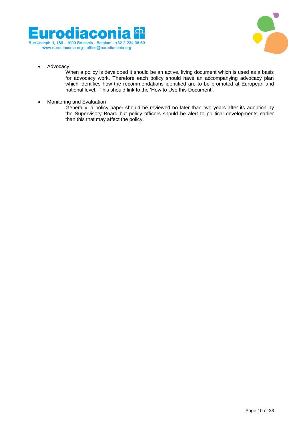



• Advocacy

When a policy is developed it should be an active, living document which is used as a basis for advocacy work. Therefore each policy should have an accompanying advocacy plan which identifies how the recommendations identified are to be promoted at European and national level. This should link to the 'How to Use this Document'.

• Monitoring and Evaluation

Generally, a policy paper should be reviewed no later than two years after its adoption by the Supervisory Board but policy officers should be alert to political developments earlier than this that may affect the policy.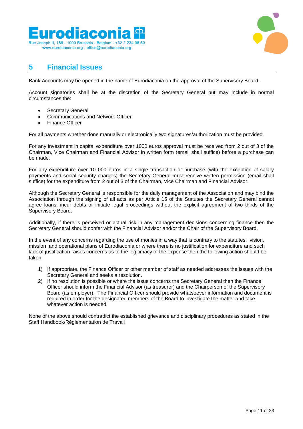



### **5 Financial Issues**

Bank Accounts may be opened in the name of Eurodiaconia on the approval of the Supervisory Board.

Account signatories shall be at the discretion of the Secretary General but may include in normal circumstances the:

- Secretary General
- Communications and Network Officer
- Finance Officer

For all payments whether done manually or electronically two signatures/authorization must be provided.

For any investment in capital expenditure over 1000 euros approval must be received from 2 out of 3 of the Chairman, Vice Chairman and Financial Advisor in written form (email shall suffice) before a purchase can be made.

For any expenditure over 10 000 euros in a single transaction or purchase (with the exception of salary payments and social security charges) the Secretary General must receive written permission (email shall suffice) for the expenditure from 2 out of 3 of the Chairman, Vice Chairman and Financial Advisor.

Although the Secretary General is responsible for the daily management of the Association and may bind the Association through the signing of all acts as per Article 15 of the Statutes the Secretary General cannot agree loans, incur debts or initiate legal proceedings without the explicit agreement of two thirds of the Supervisory Board.

Additionally, if there is perceived or actual risk in any management decisions concerning finance then the Secretary General should confer with the Financial Advisor and/or the Chair of the Supervisory Board.

In the event of any concerns regarding the use of monies in a way that is contrary to the statutes, vision, mission and operational plans of Eurodiaconia or where there is no justification for expenditure and such lack of justification raises concerns as to the legitimacy of the expense then the following action should be taken:

- 1) If appropriate, the Finance Officer or other member of staff as needed addresses the issues with the Secretary General and seeks a resolution.
- 2) If no resolution is possible or where the issue concerns the Secretary General then the Finance Officer should inform the Financial Advisor (as treasurer) and the Chairperson of the Supervisory Board (as employer). The Financial Officer should provide whatsoever information and document is required in order for the designated members of the Board to investigate the matter and take whatever action is needed.

None of the above should contradict the established grievance and disciplinary procedures as stated in the Staff Handbook/Réglementation de Travail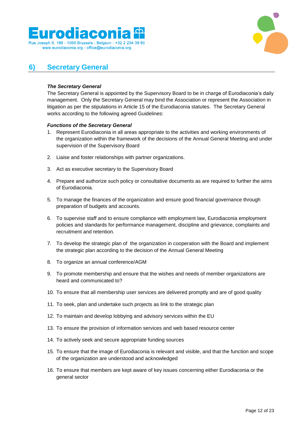



### **6) Secretary General**

### *The Secretary General*

The Secretary General is appointed by the Supervisory Board to be in charge of Eurodiaconia's daily management. Only the Secretary General may bind the Association or represent the Association in litigation as per the stipulations in Article 15 of the Eurodiaconia statutes. The Secretary General works according to the following agreed Guidelines:

### *Functions of the Secretary General*

- 1. Represent Eurodiaconia in all areas appropriate to the activities and working environments of the organization within the framework of the decisions of the Annual General Meeting and under supervision of the Supervisory Board
- 2. Liaise and foster relationships with partner organizations.
- 3. Act as executive secretary to the Supervisory Board
- 4. Prepare and authorize such policy or consultative documents as are required to further the aims of Eurodiaconia.
- 5. To manage the finances of the organization and ensure good financial governance through preparation of budgets and accounts.
- 6. To supervise staff and to ensure compliance with employment law, Eurodiaconia employment policies and standards for performance management, discipline and grievance, complaints and recruitment and retention.
- 7. To develop the strategic plan of the organization in cooperation with the Board and implement the strategic plan according to the decision of the Annual General Meeting
- 8. To organize an annual conference/AGM
- 9. To promote membership and ensure that the wishes and needs of member organizations are heard and communicated to?
- 10. To ensure that all membership user services are delivered promptly and are of good quality
- 11. To seek, plan and undertake such projects as link to the strategic plan
- 12. To maintain and develop lobbying and advisory services within the EU
- 13. To ensure the provision of information services and web based resource center
- 14. To actively seek and secure appropriate funding sources
- 15. To ensure that the image of Eurodiaconia is relevant and visible, and that the function and scope of the organization are understood and acknowledged
- 16. To ensure that members are kept aware of key issues concerning either Eurodiaconia or the general sector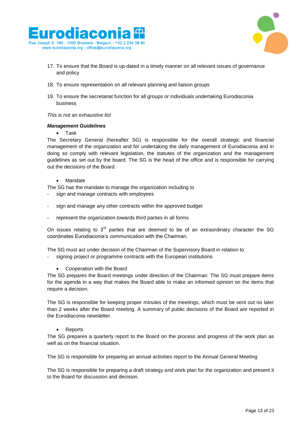



- 17. To ensure that the Board is up-dated in a timely manner on all relevant issues of governance and policy
- 18. To ensure representation on all relevant planning and liaison groups
- 19. To ensure the secretariat function for all groups or individuals undertaking Eurodiaconia business

### *This is not an exhaustive list*

### *Management Guidelines*

### • Task

The Secretary General (hereafter SG) is responsible for the overall strategic and financial management of the organization and for undertaking the daily management of Eurodiaconia and in doing so comply with relevant legislation, the statutes of the organization and the management guidelines as set out by the board. The SG is the head of the office and is responsible for carrying out the decisions of the Board.

### Mandate

The SG has the mandate to manage the organization including to

- sign and manage contracts with employees
- sign and manage any other contracts within the approved budget
- represent the organization towards third parties in all forms

On issues relating to  $3<sup>rd</sup>$  parties that are deemed to be of an extraordinary character the SG coordinates Eurodiaconia's communication with the Chairman.

The SG must act under decision of the Chairman of the Supervisory Board in relation to

signing project or programme contracts with the European institutions

### Cooperation with the Board

The SG prepares the Board meetings under direction of the Chairman. The SG must prepare items for the agenda in a way that makes the Board able to make an informed opinion on the items that require a decision.

The SG is responsible for keeping proper minutes of the meetings, which must be sent out no later than 2 weeks after the Board meeting. A summary of public decisions of the Board are reported in the Eurodiaconia newsletter.

### Reports

The SG prepares a quarterly report to the Board on the process and progress of the work plan as well as on the financial situation.

The SG is responsible for preparing an annual activities report to the Annual General Meeting

The SG is responsible for preparing a draft strategy and work plan for the organization and present it to the Board for discussion and decision.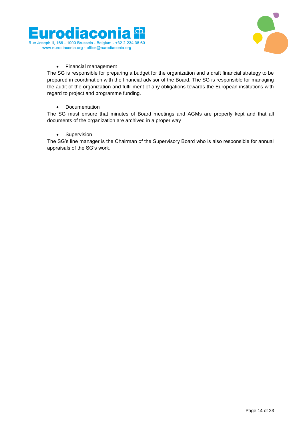



### Financial management

The SG is responsible for preparing a budget for the organization and a draft financial strategy to be prepared in coordination with the financial advisor of the Board. The SG is responsible for managing the audit of the organization and fulfillment of any obligations towards the European institutions with regard to project and programme funding.

### • Documentation

The SG must ensure that minutes of Board meetings and AGMs are properly kept and that all documents of the organization are archived in a proper way

### • Supervision

The SG's line manager is the Chairman of the Supervisory Board who is also responsible for annual appraisals of the SG's work.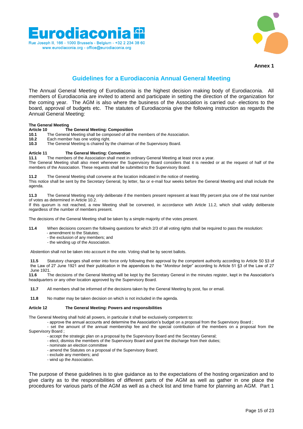



#### **Annex 1**

### **Guidelines for a Eurodiaconia Annual General Meeting**

The Annual General Meeting of Eurodiaconia is the highest decision making body of Eurodiaconia. All members of Eurodiaconia are invited to attend and participate in setting the direction of the organization for the coming year. The AGM is also where the business of the Association is carried out- elections to the board, approval of budgets etc. The statutes of Eurodiaconia give the following instruction as regards the Annual General Meeting:

## **The General Meeting**

**Article 10 The General Meeting: Composition** 

- **10.1 10.1** The General Meeting shall be composed of all the members of the Association.<br>**10.2** Each member has one voting right
- **10.2** Each member has one voting right.<br>**10.3** The General Meeting is chaired by
- **10.3** The General Meeting is chaired by the chairman of the Supervisory Board.

#### **Article 11 The General Meeting: Convention**

**11.1** The members of the Association shall meet in ordinary General Meeting at least once a year.

The General Meeting shall also meet whenever the Supervisory Board considers that it is needed or at the request of half of the members of the Association. These requests shall be submitted to the Supervisory Board.

**11.2** The General Meeting shall convene at the location indicated in the notice of meeting.

This notice shall be sent by the Secretary General, by letter, fax or e-mail four weeks before the General Meeting and shall include the agenda.

**11.3** The General Meeting may only deliberate if the members present represent at least fifty percent plus one of the total number of votes as determined in Article 10.2.

If this quorum is not reached, a new Meeting shall be convened, in accordance with Article 11.2, which shall validly deliberate regardless of the number of members present.

The decisions of the General Meeting shall be taken by a simple majority of the votes present.

- **11.4** When decisions concern the following questions for which 2/3 of all voting rights shall be required to pass the resolution:
	- amendment to the Statutes;
	- the exclusion of any members; and
	- the winding up of the Association.

Abstention shall not be taken into account in the vote. Voting shall be by secret ballots.

**11.5** Statutory changes shall enter into force only following their approval by the competent authority according to Article 50 §3 of the Law of 27 June 1921 and their publication in the appendices to the "*Moniteur belge*" according to Article 51 §3 of the Law of 27 June 1921.<br>**11.6** TI

**11.6** The decisions of the General Meeting will be kept by the Secretary General in the minutes register, kept in the Association's headquarters or any other location approved by the Supervisory Board.

**11.7** All members shall be informed of the decisions taken by the General Meeting by post, fax or email.

**11.8** No matter may be taken decision on which is not included in the agenda.

#### **Article 12 The General Meeting: Powers and responsibilities**

The General Meeting shall hold all powers, in particular it shall be exclusively competent to:

- approve the annual accounts and determine the Association's budget on a proposal from the Supervisory Board ;

- set the amount of the annual membership fee and the special contribution of the members on a proposal from the Supervisory Board ;

- accept the strategic plan on a proposal by the Supervisory Board and the Secretary General;
- elect, dismiss the members of the Supervisory Board and grant the discharge from their duties;
- nominate an election committee
- amend the Statutes on a proposal of the Supervisory Board;
- exclude any members; and
- wind up the Association.

The purpose of these guidelines is to give guidance as to the expectations of the hosting organization and to give clarity as to the responsibilities of different parts of the AGM as well as gather in one place the procedures for various parts of the AGM as well as a check list and time frame for planning an AGM. Part 1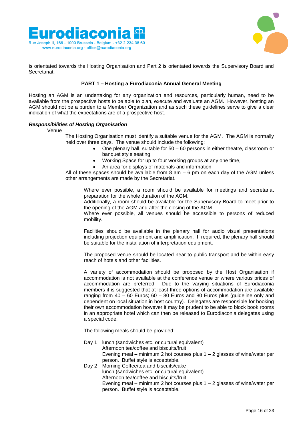



is orientated towards the Hosting Organisation and Part 2 is orientated towards the Supervisory Board and Secretariat.

### **PART 1 – Hosting a Eurodiaconia Annual General Meeting**

Hosting an AGM is an undertaking for any organization and resources, particularly human, need to be available from the prospective hosts to be able to plan, execute and evaluate an AGM. However, hosting an AGM should not be a burden to a Member Organization and as such these guidelines serve to give a clear indication of what the expectations are of a prospective host.

### *Responsibilities of Hosting Organisation*

Venue

- The Hosting Organisation must identify a suitable venue for the AGM. The AGM is normally held over three days. The venue should include the following:
	- One plenary hall, suitable for 50 60 persons in either theatre, classroom or banquet style seating
	- Working Space for up to four working groups at any one time,
	- An area for displays of materials and information

All of these spaces should be available from  $8$  am  $-6$  pm on each day of the AGM unless other arrangements are made by the Secretariat.

Where ever possible, a room should be available for meetings and secretariat preparation for the whole duration of the AGM.

Additionally, a room should be available for the Supervisory Board to meet prior to the opening of the AGM and after the closing of the AGM.

Where ever possible, all venues should be accessible to persons of reduced mobility.

Facilities should be available in the plenary hall for audio visual presentations including projection equipment and amplification. If required, the plenary hall should be suitable for the installation of interpretation equipment.

The proposed venue should be located near to public transport and be within easy reach of hotels and other facilities.

A variety of accommodation should be proposed by the Host Organisation if accommodation is not available at the conference venue or where various prices of accommodation are preferred. Due to the varying situations of Eurodiaconia members it is suggested that at least three options of accommodation are available ranging from  $40 - 60$  Euros;  $60 - 80$  Euros and 80 Euros plus (guideline only and dependent on local situation in host country). Delegates are responsible for booking their own accommodation however it may be prudent to be able to block book rooms in an appropriate hotel which can then be released to Eurodiaconia delegates using a special code.

The following meals should be provided:

- Day 1 lunch (sandwiches etc. or cultural equivalent) Afternoon tea/coffee and biscuits/fruit Evening meal – minimum 2 hot courses plus  $1 - 2$  glasses of wine/water per person. Buffet style is acceptable.
- Day 2 Morning Coffee/tea and biscuits/cake lunch (sandwiches etc. or cultural equivalent) Afternoon tea/coffee and biscuits/fruit Evening meal – minimum 2 hot courses plus  $1 - 2$  glasses of wine/water per person. Buffet style is acceptable.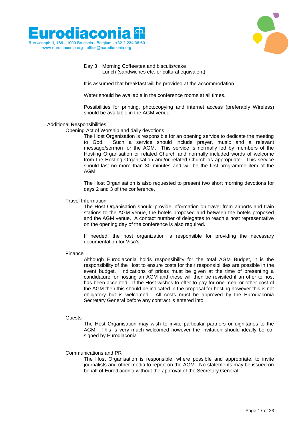



### Day 3 Morning Coffee/tea and biscuits/cake Lunch (sandwiches etc. or cultural equivalent)

It is assumed that breakfast will be provided at the accommodation.

Water should be available in the conference rooms at all times.

Possibilities for printing, photocopying and internet access (preferably Wireless) should be available in the AGM venue.

### Additional Responsibilities

Opening Act of Worship and daily devotions

The Host Organisation is responsible for an opening service to dedicate the meeting to God. Such a service should include prayer, music and a relevant message/sermon for the AGM. This service is normally led by members of the Hosting Organisation or related Church and normally included words of welcome from the Hosting Organisation and/or related Church as appropriate. This service should last no more than 30 minutes and will be the first programme item of the AGM

The Host Organisation is also requested to present two short morning devotions for days 2 and 3 of the conference,

### Travel Information

The Host Organisation should provide information on travel from airports and train stations to the AGM venue, the hotels proposed and between the hotels proposed and the AGM venue. A contact number of delegates to reach a host representative on the opening day of the conference is also required.

If needed, the host organization is responsible for providing the necessary documentation for Visa's.

#### Finance

Although Eurodiaconia holds responsibility for the total AGM Budget, it is the responsibility of the Host to ensure costs for their responsibilities are possible in the event budget. Indications of prices must be given at the time of presenting a candidature for hosting an AGM and these will then be revisited if an offer to host has been accepted. If the Host wishes to offer to pay for one meal or other cost of the AGM then this should be indicated in the proposal for hosting however this is not obligatory but is welcomed. All costs must be approved by the Eurodiaconia Secretary General before any contract is entered into.

#### Guests

The Host Organisation may wish to invite particular partners or dignitaries to the AGM. This is very much welcomed however the invitation should ideally be cosigned by Eurodiaconia.

### Communications and PR

The Host Organisation is responsible, where possible and appropriate, to invite journalists and other media to report on the AGM. No statements may be issued on behalf of Eurodiaconia without the approval of the Secretary General.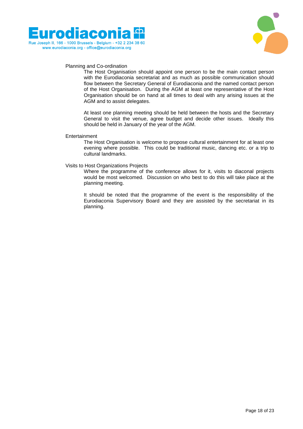



### Planning and Co-ordination

The Host Organisation should appoint one person to be the main contact person with the Eurodiaconia secretariat and as much as possible communication should flow between the Secretary General of Eurodiaconia and the named contact person of the Host Organisation. During the AGM at least one representative of the Host Organisation should be on hand at all times to deal with any arising issues at the AGM and to assist delegates.

At least one planning meeting should be held between the hosts and the Secretary General to visit the venue, agree budget and decide other issues. Ideally this should be held in January of the year of the AGM.

#### Entertainment

The Host Organisation is welcome to propose cultural entertainment for at least one evening where possible. This could be traditional music, dancing etc. or a trip to cultural landmarks.

#### Visits to Host Organizations Projects

Where the programme of the conference allows for it, visits to diaconal projects would be most welcomed. Discussion on who best to do this will take place at the planning meeting.

It should be noted that the programme of the event is the responsibility of the Eurodiaconia Supervisory Board and they are assisted by the secretariat in its planning.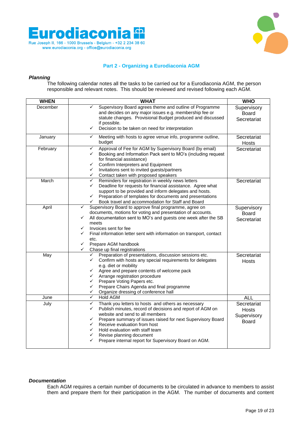



### **Part 2 - Organizing a Eurodiaconia AGM**

### *Planning*

The following calendar notes all the tasks to be carried out for a Eurodiaconia AGM, the person responsible and relevant notes. This should be reviewed and revised following each AGM.

| <b>WHEN</b> | <b>WHAT</b>                                                                                                                                                                                                                                                                                                                                                                                                  | <b>WHO</b>                                   |
|-------------|--------------------------------------------------------------------------------------------------------------------------------------------------------------------------------------------------------------------------------------------------------------------------------------------------------------------------------------------------------------------------------------------------------------|----------------------------------------------|
| December    | Supervisory Board agrees theme and outline of Programme<br>✓<br>and decides on any major issues e.g. membership fee or<br>statute changes. Provisional Budget produced and discussed                                                                                                                                                                                                                         | Supervisory<br><b>Board</b><br>Secretariat   |
|             | if possible.<br>$\checkmark$<br>Decision to be taken on need for interpretation                                                                                                                                                                                                                                                                                                                              |                                              |
| January     | Meeting with hosts to agree venue info, programme outline,<br>$\checkmark$<br>budget                                                                                                                                                                                                                                                                                                                         | Secretariat<br>Hosts                         |
| February    | Approval of Fee for AGM by Supervisory Board (by email)<br>✓<br>Booking and Information Pack sent to MO's (including request<br>✓<br>for financial assistance)<br>Confirm Interpreters and Equipment<br>✓<br>✓<br>Invitations sent to invited guests/partners<br>Contact taken with proposed speakers<br>✓                                                                                                   | Secretariat                                  |
| March       | $\checkmark$<br>Reminders for registration in weekly news letters<br>Deadline for requests for financial assistance. Agree what<br>✓<br>support to be provided and inform delegates and hosts.<br>$\checkmark$<br>Preparation of templates for documents and presentations<br>Book travel and accommodation for Staff and Board<br>✓                                                                         | Secretariat                                  |
| April       | ✓<br>Supervisory Board to approve final programme, agree on<br>documents, motions for voting and presentation of accounts.<br>✓<br>All documentation sent to MO's and guests one week after the SB<br>meets<br>Invoices sent for fee<br>✓<br>✓<br>Final information letter sent with information on transport, contact<br>etc.<br>Prepare AGM handbook<br>✓<br>Chase up final registrations<br>✓             | Supervisory<br><b>Board</b><br>Secretariat   |
| May         | Preparation of presentations, discussion sessions etc.<br>$\checkmark$<br>✓<br>Confirm with hosts any special requirements for delegates<br>e.g. diet or mobility<br>Agree and prepare contents of welcome pack<br>✓<br>✓<br>Arrange registration procedure<br>Prepare Voting Papers etc.<br>✓<br>Prepare Chairs Agenda and final programme<br>✓<br>✓<br>Organize dressing of conference hall                | Secretariat<br>Hosts                         |
| June        | ✓<br>Hold AGM                                                                                                                                                                                                                                                                                                                                                                                                | <b>ALL</b>                                   |
| July        | ✓<br>Thank you letters to hosts and others as necessary<br>✓<br>Publish minutes, record of decisions and report of AGM on<br>website and send to all members<br>✓<br>Prepare summary of issues raised for next Supervisory Board<br>✓<br>Receive evaluation from host<br>✓<br>Hold evaluation with staff team<br>Revise planning document<br>✓<br>Prepare internal report for Supervisory Board on AGM.<br>✓ | Secretariat<br>Hosts<br>Supervisory<br>Board |

### *Documentation*

Each AGM requires a certain number of documents to be circulated in advance to members to assist them and prepare them for their participation in the AGM. The number of documents and content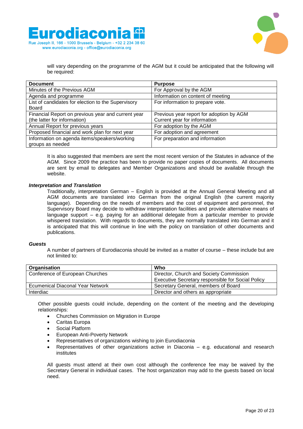



will vary depending on the programme of the AGM but it could be anticipated that the following will be required:

| <b>Document</b>                                    | <b>Purpose</b>                           |
|----------------------------------------------------|------------------------------------------|
| Minutes of the Previous AGM                        | For Approval by the AGM                  |
| Agenda and programme                               | Information on content of meeting        |
| List of candidates for election to the Supervisory | For information to prepare vote.         |
| Board                                              |                                          |
| Financial Report on previous year and current year | Previous year report for adoption by AGM |
| (the latter for information)                       | Current year for information             |
| Annual Report for previous years                   | For adoption by the AGM                  |
| Proposed financial and work plan for next year     | For adoption and agreement               |
| Information on agenda items/speakers/working       | For preparation and information          |
| groups as needed                                   |                                          |

It is also suggested that members are sent the most recent version of the Statutes in advance of the AGM. Since 2009 the practice has been to provide no paper copies of documents. All documents are sent by email to delegates and Member Organizations and should be available through the website.

### *Interpretation and Translation*

Traditionally, interpretation German – English is provided at the Annual General Meeting and all AGM documents are translated into German from the original English (the current majority language). Depending on the needs of members and the cost of equipment and personnel, the Supervisory Board may decide to withdraw interpretation facilities and provide alternative means of language support – e.g. paying for an additional delegate from a particular member to provide whispered translation. With regards to documents, they are normally translated into German and it is anticipated that this will continue in line with the policy on translation of other documents and publications.

#### *Guests*

A number of partners of Eurodiaconia should be invited as a matter of course – these include but are not limited to:

| <b>Organisation</b>              | Who                                               |
|----------------------------------|---------------------------------------------------|
| Conference of European Churches  | Director, Church and Society Commission           |
|                                  | Executive Secretary responsible for Social Policy |
| Ecumenical Diaconal Year Network | Secretary General, members of Board               |
| Interdiac                        | Director and others as appropriate                |

Other possible guests could include, depending on the content of the meeting and the developing relationships:

- Churches Commission on Migration in Europe
- Caritas Europa
- Social Platform
- European Anti-Poverty Network
- Representatives of organizations wishing to join Eurodiaconia
- Representatives of other organizations active in Diaconia e.g. educational and research institutes

All guests must attend at their own cost although the conference fee may be waived by the Secretary General in individual cases. The host organization may add to the guests based on local need.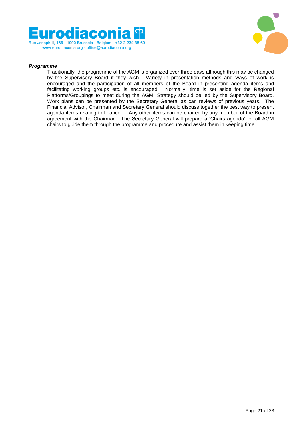



### *Programme*

Traditionally, the programme of the AGM is organized over three days although this may be changed by the Supervisory Board if they wish. Variety in presentation methods and ways of work is encouraged and the participation of all members of the Board in presenting agenda items and facilitating working groups etc. is encouraged. Normally, time is set aside for the Regional Platforms/Groupings to meet during the AGM. Strategy should be led by the Supervisory Board. Work plans can be presented by the Secretary General as can reviews of previous years. The Financial Advisor, Chairman and Secretary General should discuss together the best way to present agenda items relating to finance. Any other items can be chaired by any member of the Board in agreement with the Chairman. The Secretary General will prepare a 'Chairs agenda' for all AGM chairs to guide them through the programme and procedure and assist them in keeping time.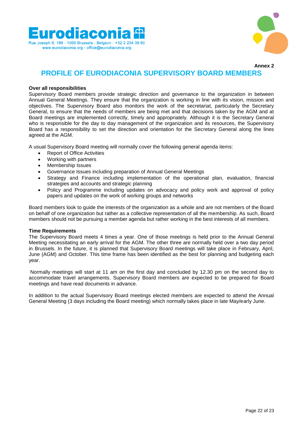



**Annex 2**

### **PROFILE OF EURODIACONIA SUPERVISORY BOARD MEMBERS**

### **Over all responsibilities**

Supervisory Board members provide strategic direction and governance to the organization in between Annual General Meetings. They ensure that the organization is working in line with its vision, mission and objectives. The Supervisory Board also monitors the work of the secretariat, particularly the Secretary General, to ensure that the needs of members are being met and that decisions taken by the AGM and at Board meetings are implemented correctly, timely and appropriately. Although it is the Secretary General who is responsible for the day to day management of the organization and its resources, the Supervisory Board has a responsibility to set the direction and orientation for the Secretary General along the lines agreed at the AGM.

A usual Supervisory Board meeting will normally cover the following general agenda items:

- Report of Office Activities
- Working with partners
- Membership Issues
- Governance Issues including preparation of Annual General Meetings
- Strategy and Finance including implementation of the operational plan, evaluation, financial strategies and accounts and strategic planning
- Policy and Programme including updates on advocacy and policy work and approval of policy papers and updates on the work of working groups and networks

Board members look to guide the interests of the organization as a whole and are not members of the Board on behalf of one organization but rather as a collective representation of all the membership. As such, Board members should not be pursuing a member agenda but rather working in the best interests of all members.

#### **Time Requirements**

The Supervisory Board meets 4 times a year. One of those meetings is held prior to the Annual General Meeting necessitating an early arrival for the AGM. The other three are normally held over a two day period in Brussels. In the future, it is planned that Supervisory Board meetings will take place in February, April, June (AGM) and October. This time frame has been identified as the best for planning and budgeting each year.

Normally meetings will start at 11 am on the first day and concluded by 12.30 pm on the second day to accommodate travel arrangements. Supervisory Board members are expected to be prepared for Board meetings and have read documents in advance.

In addition to the actual Supervisory Board meetings elected members are expected to attend the Annual General Meeting (3 days including the Board meeting) which normally takes place in late May/early June.